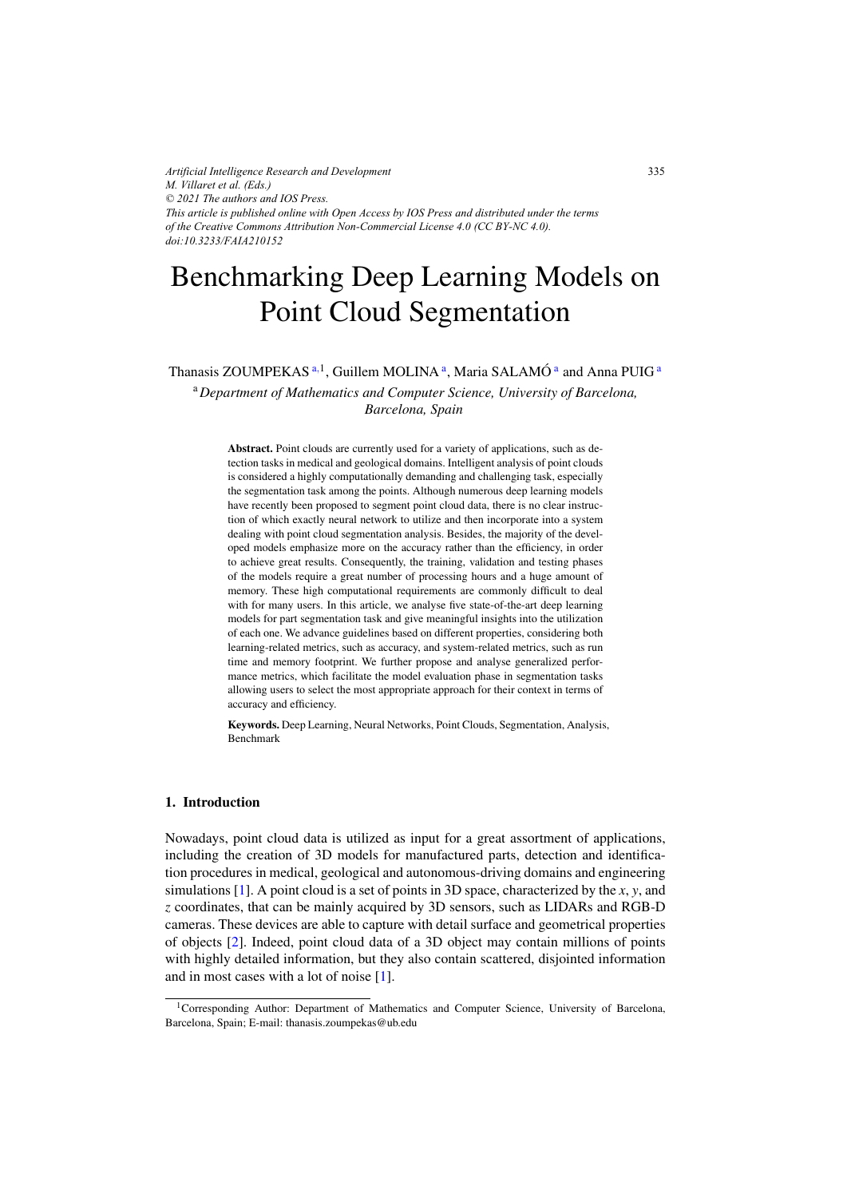*Artificial Intelligence Research and Development M. Villaret et al. (Eds.) © 2021 The authors and IOS Press. This article is published online with Open Access by IOS Press and distributed under the terms of the Creative Commons Attribution Non-Commercial License 4.0 (CC BY-NC 4.0). doi:10.3233/FAIA210152*

# Benchmarking Deep Learning Models on Point Cloud Segmentation

# Thanasis ZOUMPEKAS<sup>a, 1</sup>, Guillem MOLINA<sup>a</sup>, Maria SALAMÓ<sup>a</sup> and Anna PUIG<sup>a</sup> <sup>a</sup>*Department of Mathematics and Computer Science, University of Barcelona,*

*Barcelona, Spain*

Abstract. Point clouds are currently used for a variety of applications, such as detection tasks in medical and geological domains. Intelligent analysis of point clouds is considered a highly computationally demanding and challenging task, especially the segmentation task among the points. Although numerous deep learning models have recently been proposed to segment point cloud data, there is no clear instruction of which exactly neural network to utilize and then incorporate into a system dealing with point cloud segmentation analysis. Besides, the majority of the developed models emphasize more on the accuracy rather than the efficiency, in order to achieve great results. Consequently, the training, validation and testing phases of the models require a great number of processing hours and a huge amount of memory. These high computational requirements are commonly difficult to deal with for many users. In this article, we analyse five state-of-the-art deep learning models for part segmentation task and give meaningful insights into the utilization of each one. We advance guidelines based on different properties, considering both learning-related metrics, such as accuracy, and system-related metrics, such as run time and memory footprint. We further propose and analyse generalized performance metrics, which facilitate the model evaluation phase in segmentation tasks allowing users to select the most appropriate approach for their context in terms of accuracy and efficiency.

Keywords. Deep Learning, Neural Networks, Point Clouds, Segmentation, Analysis, Benchmark

#### 1. Introduction

Nowadays, point cloud data is utilized as input for a great assortment of applications, including the creation of 3D models for manufactured parts, detection and identification procedures in medical, geological and autonomous-driving domains and engineering simulations [\[1\]](#page-9-0). A point cloud is a set of points in 3D space, characterized by the *x*, *y*, and *z* coordinates, that can be mainly acquired by 3D sensors, such as LIDARs and RGB-D cameras. These devices are able to capture with detail surface and geometrical properties of objects [\[2\]](#page-9-0). Indeed, point cloud data of a 3D object may contain millions of points with highly detailed information, but they also contain scattered, disjointed information and in most cases with a lot of noise [\[1\]](#page-9-0).

<sup>1</sup>Corresponding Author: Department of Mathematics and Computer Science, University of Barcelona, Barcelona, Spain; E-mail: thanasis.zoumpekas@ub.edu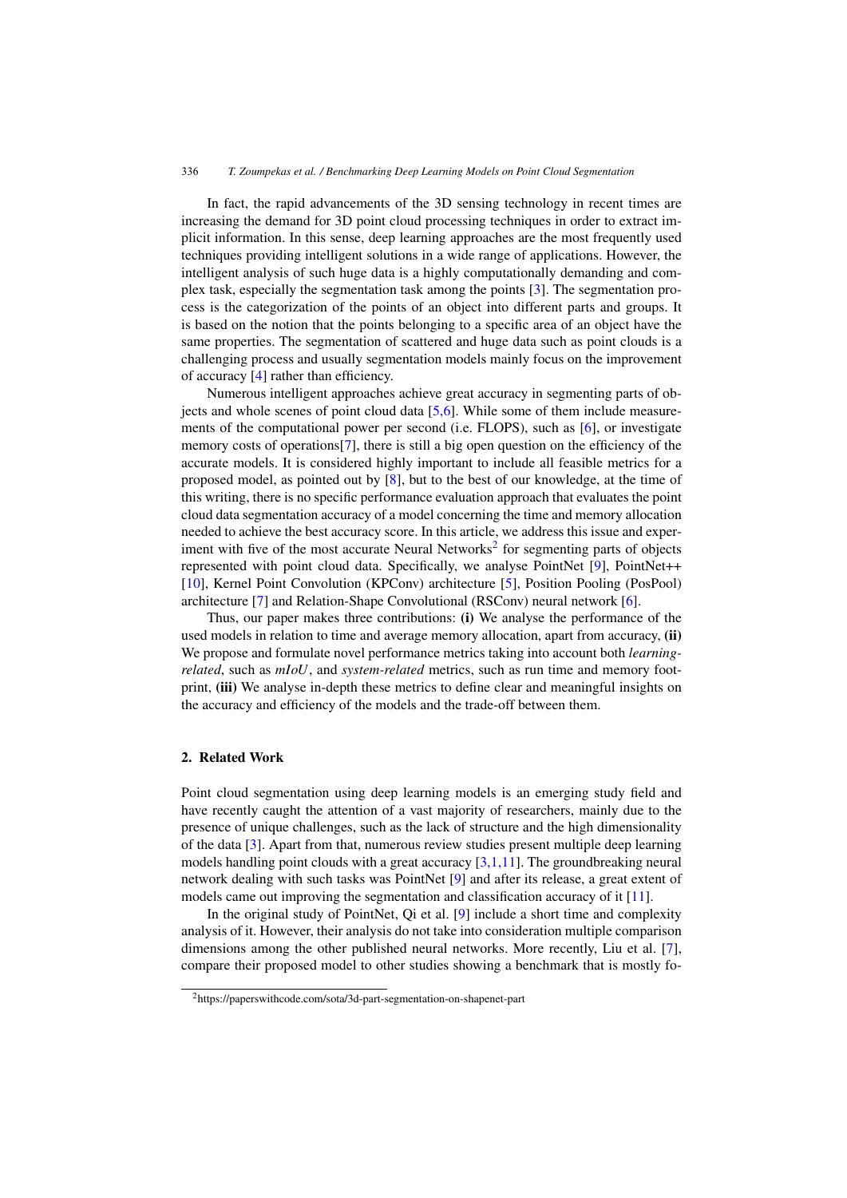In fact, the rapid advancements of the 3D sensing technology in recent times are increasing the demand for 3D point cloud processing techniques in order to extract implicit information. In this sense, deep learning approaches are the most frequently used techniques providing intelligent solutions in a wide range of applications. However, the intelligent analysis of such huge data is a highly computationally demanding and complex task, especially the segmentation task among the points [\[3\]](#page-9-0). The segmentation process is the categorization of the points of an object into different parts and groups. It is based on the notion that the points belonging to a specific area of an object have the same properties. The segmentation of scattered and huge data such as point clouds is a challenging process and usually segmentation models mainly focus on the improvement of accuracy [\[4\]](#page-9-0) rather than efficiency.

Numerous intelligent approaches achieve great accuracy in segmenting parts of objects and whole scenes of point cloud data [\[5,6\]](#page-9-0). While some of them include measurements of the computational power per second (i.e. FLOPS), such as [\[6\]](#page-9-0), or investigate memory costs of operations[\[7\]](#page-9-0), there is still a big open question on the efficiency of the accurate models. It is considered highly important to include all feasible metrics for a proposed model, as pointed out by [\[8\]](#page-9-0), but to the best of our knowledge, at the time of this writing, there is no specific performance evaluation approach that evaluates the point cloud data segmentation accuracy of a model concerning the time and memory allocation needed to achieve the best accuracy score. In this article, we address this issue and experiment with five of the most accurate Neural Networks<sup>2</sup> for segmenting parts of objects represented with point cloud data. Specifically, we analyse PointNet [\[9\]](#page-9-0), PointNet++ [\[10\]](#page-9-0), Kernel Point Convolution (KPConv) architecture [\[5\]](#page-9-0), Position Pooling (PosPool) architecture [\[7\]](#page-9-0) and Relation-Shape Convolutional (RSConv) neural network [\[6\]](#page-9-0).

Thus, our paper makes three contributions: (i) We analyse the performance of the used models in relation to time and average memory allocation, apart from accuracy, (ii) We propose and formulate novel performance metrics taking into account both *learningrelated*, such as *mIoU*, and *system-related* metrics, such as run time and memory footprint, (iii) We analyse in-depth these metrics to define clear and meaningful insights on the accuracy and efficiency of the models and the trade-off between them.

#### 2. Related Work

Point cloud segmentation using deep learning models is an emerging study field and have recently caught the attention of a vast majority of researchers, mainly due to the presence of unique challenges, such as the lack of structure and the high dimensionality of the data [\[3\]](#page-9-0). Apart from that, numerous review studies present multiple deep learning models handling point clouds with a great accuracy  $[3,1,11]$ . The groundbreaking neural network dealing with such tasks was PointNet [\[9\]](#page-9-0) and after its release, a great extent of models came out improving the segmentation and classification accuracy of it [\[11\]](#page-9-0).

In the original study of PointNet, Qi et al. [\[9\]](#page-9-0) include a short time and complexity analysis of it. However, their analysis do not take into consideration multiple comparison dimensions among the other published neural networks. More recently, Liu et al. [\[7\]](#page-9-0), compare their proposed model to other studies showing a benchmark that is mostly fo-

<sup>2</sup>https://paperswithcode.com/sota/3d-part-segmentation-on-shapenet-part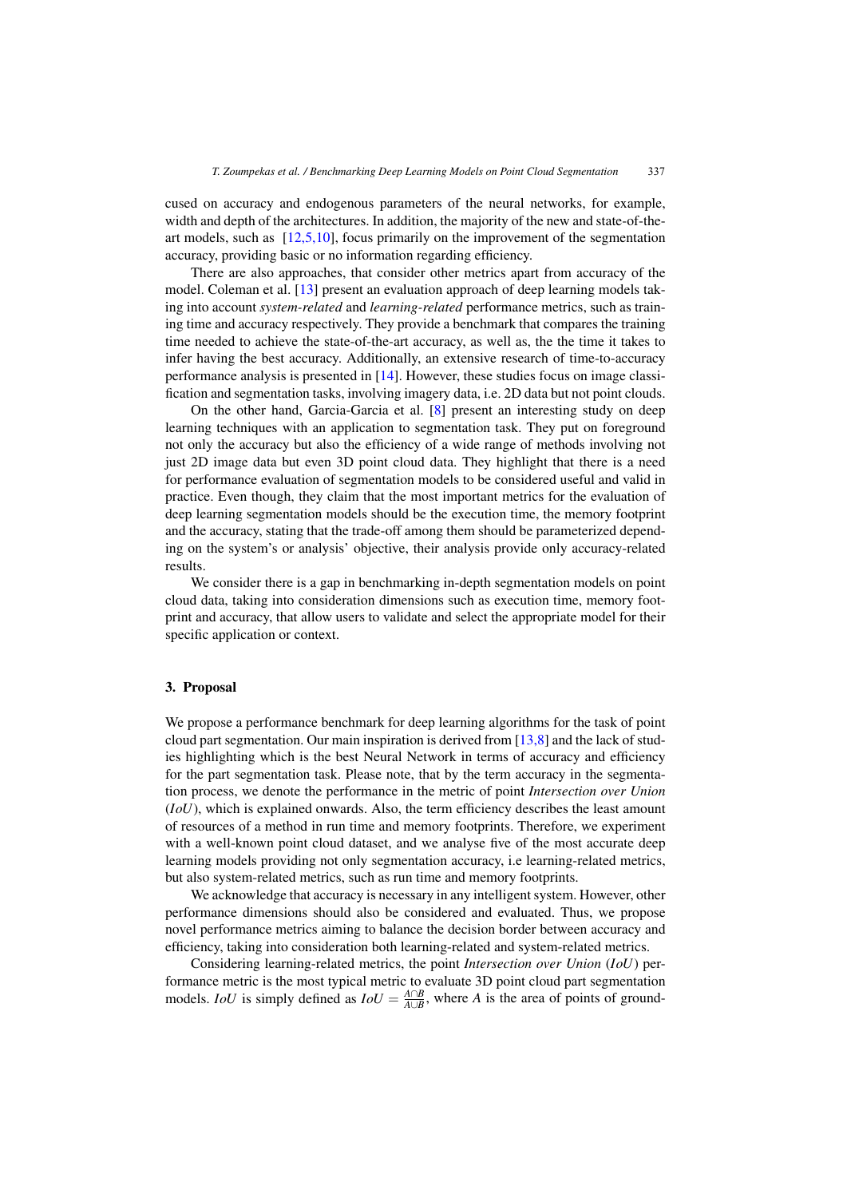cused on accuracy and endogenous parameters of the neural networks, for example, width and depth of the architectures. In addition, the majority of the new and state-of-theart models, such as [\[12,5,10\]](#page-9-0), focus primarily on the improvement of the segmentation accuracy, providing basic or no information regarding efficiency.

There are also approaches, that consider other metrics apart from accuracy of the model. Coleman et al. [\[13\]](#page-9-0) present an evaluation approach of deep learning models taking into account *system-related* and *learning-related* performance metrics, such as training time and accuracy respectively. They provide a benchmark that compares the training time needed to achieve the state-of-the-art accuracy, as well as, the the time it takes to infer having the best accuracy. Additionally, an extensive research of time-to-accuracy performance analysis is presented in [\[14\]](#page-9-0). However, these studies focus on image classification and segmentation tasks, involving imagery data, i.e. 2D data but not point clouds.

On the other hand, Garcia-Garcia et al. [\[8\]](#page-9-0) present an interesting study on deep learning techniques with an application to segmentation task. They put on foreground not only the accuracy but also the efficiency of a wide range of methods involving not just 2D image data but even 3D point cloud data. They highlight that there is a need for performance evaluation of segmentation models to be considered useful and valid in practice. Even though, they claim that the most important metrics for the evaluation of deep learning segmentation models should be the execution time, the memory footprint and the accuracy, stating that the trade-off among them should be parameterized depending on the system's or analysis' objective, their analysis provide only accuracy-related results.

We consider there is a gap in benchmarking in-depth segmentation models on point cloud data, taking into consideration dimensions such as execution time, memory footprint and accuracy, that allow users to validate and select the appropriate model for their specific application or context.

#### 3. Proposal

We propose a performance benchmark for deep learning algorithms for the task of point cloud part segmentation. Our main inspiration is derived from  $[13,8]$  and the lack of studies highlighting which is the best Neural Network in terms of accuracy and efficiency for the part segmentation task. Please note, that by the term accuracy in the segmentation process, we denote the performance in the metric of point *Intersection over Union* (*IoU*), which is explained onwards. Also, the term efficiency describes the least amount of resources of a method in run time and memory footprints. Therefore, we experiment with a well-known point cloud dataset, and we analyse five of the most accurate deep learning models providing not only segmentation accuracy, i.e learning-related metrics, but also system-related metrics, such as run time and memory footprints.

We acknowledge that accuracy is necessary in any intelligent system. However, other performance dimensions should also be considered and evaluated. Thus, we propose novel performance metrics aiming to balance the decision border between accuracy and efficiency, taking into consideration both learning-related and system-related metrics.

Considering learning-related metrics, the point *Intersection over Union* (*IoU*) performance metric is the most typical metric to evaluate 3D point cloud part segmentation models. *IoU* is simply defined as  $IoU = \frac{A \cap B}{A \cup B}$ , where *A* is the area of points of ground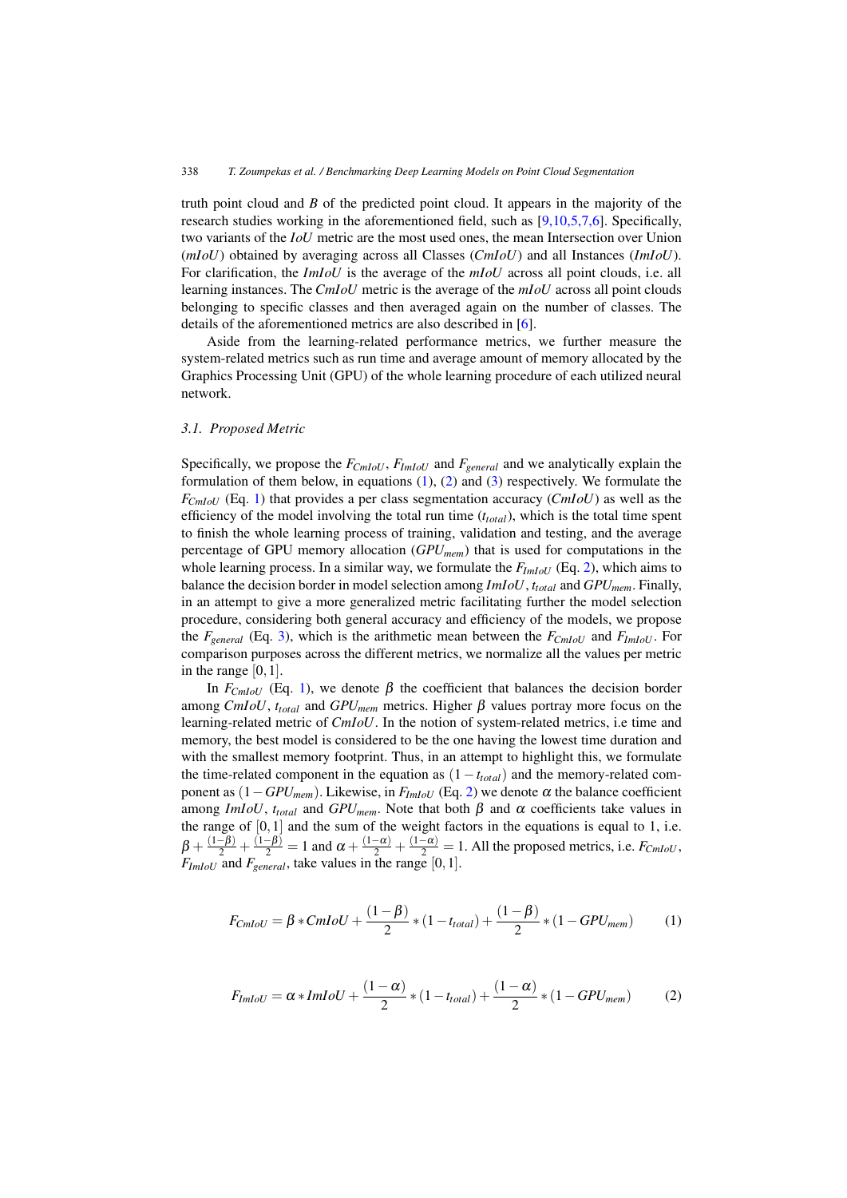<span id="page-3-0"></span>truth point cloud and *B* of the predicted point cloud. It appears in the majority of the research studies working in the aforementioned field, such as [\[9,10,5,7,6\]](#page-9-0). Specifically, two variants of the *IoU* metric are the most used ones, the mean Intersection over Union (*mIoU*) obtained by averaging across all Classes (*CmIoU*) and all Instances (*ImIoU*). For clarification, the *ImIoU* is the average of the *mIoU* across all point clouds, i.e. all learning instances. The *CmIoU* metric is the average of the *mIoU* across all point clouds belonging to specific classes and then averaged again on the number of classes. The details of the aforementioned metrics are also described in [\[6\]](#page-9-0).

Aside from the learning-related performance metrics, we further measure the system-related metrics such as run time and average amount of memory allocated by the Graphics Processing Unit (GPU) of the whole learning procedure of each utilized neural network.

#### *3.1. Proposed Metric*

Specifically, we propose the *FCmIoU* , *FImIoU* and *Fgeneral* and we analytically explain the formulation of them below, in equations (1), (2) and [\(3\)](#page-4-0) respectively. We formulate the *FCmIoU* (Eq. 1) that provides a per class segmentation accuracy (*CmIoU*) as well as the efficiency of the model involving the total run time  $(t_{total})$ , which is the total time spent to finish the whole learning process of training, validation and testing, and the average percentage of GPU memory allocation (*GPUmem*) that is used for computations in the whole learning process. In a similar way, we formulate the  $F_{ImIoU}$  (Eq. 2), which aims to balance the decision border in model selection among *ImIoU*, *ttotal* and *GPUmem*. Finally, in an attempt to give a more generalized metric facilitating further the model selection procedure, considering both general accuracy and efficiency of the models, we propose the *Fgeneral* (Eq. [3\)](#page-4-0), which is the arithmetic mean between the *FCmIoU* and *FImIoU* . For comparison purposes across the different metrics, we normalize all the values per metric in the range  $[0,1]$ .

In  $F<sub>ChIoU</sub>$  (Eq. 1), we denote β the coefficient that balances the decision border among *CmIoU*,  $t_{total}$  and *GPU<sub>mem</sub>* metrics. Higher β values portray more focus on the learning-related metric of *CmIoU*. In the notion of system-related metrics, i.e time and memory, the best model is considered to be the one having the lowest time duration and with the smallest memory footprint. Thus, in an attempt to highlight this, we formulate the time-related component in the equation as  $(1-t_{total})$  and the memory-related component as  $(1 - GPU_{mem})$ . Likewise, in *F<sub>ImIoU</sub>* (Eq. 2) we denote  $\alpha$  the balance coefficient among *ImIoU*,  $t_{total}$  and  $GPU_{mem}$ . Note that both  $\beta$  and  $\alpha$  coefficients take values in the range of  $[0,1]$  and the sum of the weight factors in the equations is equal to 1, i.e.  $\beta + \frac{(1-\beta)}{2} + \frac{(1-\beta)}{2} = 1$  and  $\alpha + \frac{(1-\alpha)}{2} + \frac{(1-\alpha)}{2} = 1$ . All the proposed metrics, i.e.  $F_{CmloU}$ ,  $F_{ImIoU}$  and  $F_{general}$ , take values in the range [0, 1].

$$
F_{CmloU} = \beta * CmloU + \frac{(1-\beta)}{2} * (1 - t_{total}) + \frac{(1-\beta)}{2} * (1 - GPU_{mem})
$$
 (1)

$$
F_{\text{ImIoU}} = \alpha * \text{ImIoU} + \frac{(1 - \alpha)}{2} * (1 - t_{\text{total}}) + \frac{(1 - \alpha)}{2} * (1 - \text{GPU}_{\text{mem}})
$$
(2)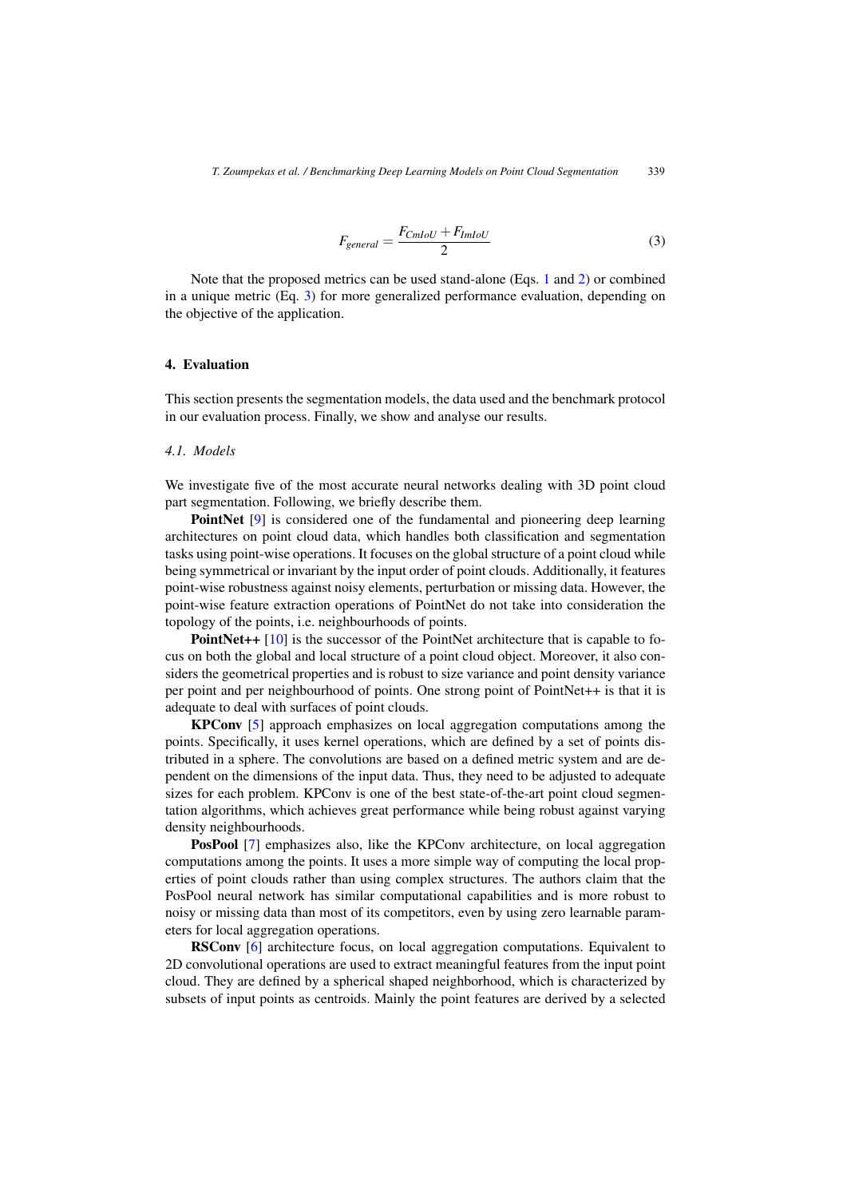$$
F_{general} = \frac{F_{CmloU} + F_{ImIoU}}{2}
$$
\n(3)

<span id="page-4-0"></span>Note that the proposed metrics can be used stand-alone (Eqs. [1](#page-3-0) and [2\)](#page-3-0) or combined in a unique metric (Eq. 3) for more generalized performance evaluation, depending on the objective of the application.

#### 4. Evaluation

This section presents the segmentation models, the data used and the benchmark protocol in our evaluation process. Finally, we show and analyse our results.

#### *4.1. Models*

We investigate five of the most accurate neural networks dealing with 3D point cloud part segmentation. Following, we briefly describe them.

PointNet [\[9\]](#page-9-0) is considered one of the fundamental and pioneering deep learning architectures on point cloud data, which handles both classification and segmentation tasks using point-wise operations. It focuses on the global structure of a point cloud while being symmetrical or invariant by the input order of point clouds. Additionally, it features point-wise robustness against noisy elements, perturbation or missing data. However, the point-wise feature extraction operations of PointNet do not take into consideration the topology of the points, i.e. neighbourhoods of points.

PointNet++ [\[10\]](#page-9-0) is the successor of the PointNet architecture that is capable to focus on both the global and local structure of a point cloud object. Moreover, it also considers the geometrical properties and is robust to size variance and point density variance per point and per neighbourhood of points. One strong point of PointNet++ is that it is adequate to deal with surfaces of point clouds.

KPConv [\[5\]](#page-9-0) approach emphasizes on local aggregation computations among the points. Specifically, it uses kernel operations, which are defined by a set of points distributed in a sphere. The convolutions are based on a defined metric system and are dependent on the dimensions of the input data. Thus, they need to be adjusted to adequate sizes for each problem. KPConv is one of the best state-of-the-art point cloud segmentation algorithms, which achieves great performance while being robust against varying density neighbourhoods.

PosPool [\[7\]](#page-9-0) emphasizes also, like the KPConv architecture, on local aggregation computations among the points. It uses a more simple way of computing the local properties of point clouds rather than using complex structures. The authors claim that the PosPool neural network has similar computational capabilities and is more robust to noisy or missing data than most of its competitors, even by using zero learnable parameters for local aggregation operations.

RSConv [\[6\]](#page-9-0) architecture focus, on local aggregation computations. Equivalent to 2D convolutional operations are used to extract meaningful features from the input point cloud. They are defined by a spherical shaped neighborhood, which is characterized by subsets of input points as centroids. Mainly the point features are derived by a selected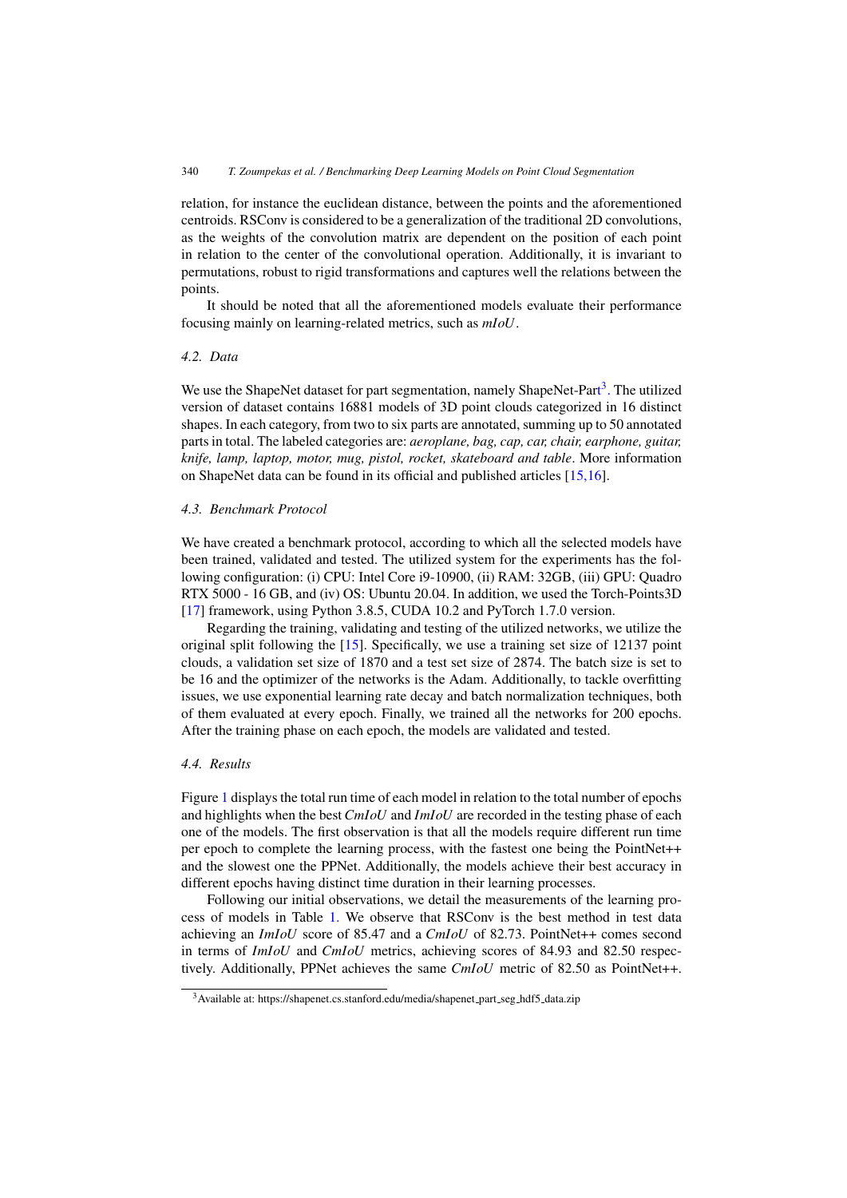relation, for instance the euclidean distance, between the points and the aforementioned centroids. RSConv is considered to be a generalization of the traditional 2D convolutions, as the weights of the convolution matrix are dependent on the position of each point in relation to the center of the convolutional operation. Additionally, it is invariant to permutations, robust to rigid transformations and captures well the relations between the points.

It should be noted that all the aforementioned models evaluate their performance focusing mainly on learning-related metrics, such as *mIoU*.

### *4.2. Data*

We use the ShapeNet dataset for part segmentation, namely ShapeNet-Part<sup>3</sup>. The utilized version of dataset contains 16881 models of 3D point clouds categorized in 16 distinct shapes. In each category, from two to six parts are annotated, summing up to 50 annotated parts in total. The labeled categories are: *aeroplane, bag, cap, car, chair, earphone, guitar, knife, lamp, laptop, motor, mug, pistol, rocket, skateboard and table*. More information on ShapeNet data can be found in its official and published articles [\[15,16\]](#page-9-0).

#### *4.3. Benchmark Protocol*

We have created a benchmark protocol, according to which all the selected models have been trained, validated and tested. The utilized system for the experiments has the following configuration: (i) CPU: Intel Core i9-10900, (ii) RAM: 32GB, (iii) GPU: Quadro RTX 5000 - 16 GB, and (iv) OS: Ubuntu 20.04. In addition, we used the Torch-Points3D [\[17\]](#page-9-0) framework, using Python 3.8.5, CUDA 10.2 and PyTorch 1.7.0 version.

Regarding the training, validating and testing of the utilized networks, we utilize the original split following the [\[15\]](#page-9-0). Specifically, we use a training set size of 12137 point clouds, a validation set size of 1870 and a test set size of 2874. The batch size is set to be 16 and the optimizer of the networks is the Adam. Additionally, to tackle overfitting issues, we use exponential learning rate decay and batch normalization techniques, both of them evaluated at every epoch. Finally, we trained all the networks for 200 epochs. After the training phase on each epoch, the models are validated and tested.

## *4.4. Results*

Figure [1](#page-6-0) displays the total run time of each model in relation to the total number of epochs and highlights when the best*CmIoU* and *ImIoU* are recorded in the testing phase of each one of the models. The first observation is that all the models require different run time per epoch to complete the learning process, with the fastest one being the PointNet++ and the slowest one the PPNet. Additionally, the models achieve their best accuracy in different epochs having distinct time duration in their learning processes.

Following our initial observations, we detail the measurements of the learning process of models in Table [1.](#page-6-0) We observe that RSConv is the best method in test data achieving an *ImIoU* score of 85.47 and a *CmIoU* of 82.73. PointNet++ comes second in terms of *ImIoU* and *CmIoU* metrics, achieving scores of 84.93 and 82.50 respectively. Additionally, PPNet achieves the same *CmIoU* metric of 82.50 as PointNet++.

<sup>&</sup>lt;sup>3</sup>Available at: https://shapenet.cs.stanford.edu/media/shapenet\_part\_seg\_hdf5\_data.zip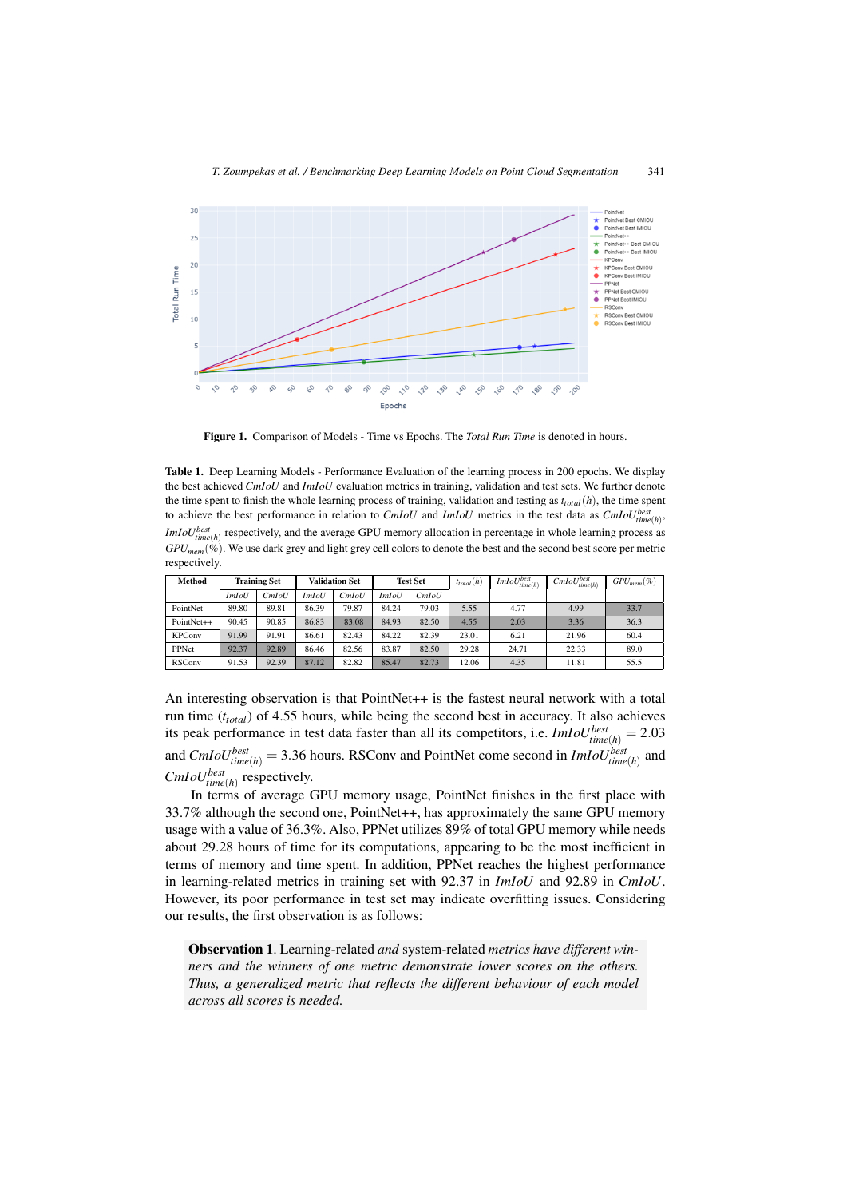<span id="page-6-0"></span>

Figure 1. Comparison of Models - Time vs Epochs. The *Total Run Time* is denoted in hours.

Table 1. Deep Learning Models - Performance Evaluation of the learning process in 200 epochs. We display the best achieved *CmIoU* and *ImIoU* evaluation metrics in training, validation and test sets. We further denote the time spent to finish the whole learning process of training, validation and testing as  $t_{total}(h)$ , the time spent to achieve the best performance in relation to *CmIoU* and *ImIoU* metrics in the test data as *CmIoUbest time*(*h*) , *ImIoU*<sup>*best*</sup> respectively, and the average GPU memory allocation in percentage in whole learning process as  $GPU_{mem}(\%)$ . We use dark grey and light grey cell colors to denote the best and the second best score per metric respectively.

| Method        | <b>Training Set</b> |       | <b>Validation Set</b> |       | <b>Test Set</b> |       | $t_{total}(h)$ | $ImIoU^{best}_{time(h)}$ | $CmloU_{time(h)}^{best}$ | $GPU_{mem} (\%)$ |
|---------------|---------------------|-------|-----------------------|-------|-----------------|-------|----------------|--------------------------|--------------------------|------------------|
|               | <i>ImIoU</i>        | CmIoU | <i>ImIoU</i>          | CmIoU | <i>ImIoU</i>    | CmIoU |                |                          |                          |                  |
| PointNet      | 89.80               | 89.81 | 86.39                 | 79.87 | 84.24           | 79.03 | 5.55           | 4.77                     | 4.99                     | 33.7             |
| PointNet++    | 90.45               | 90.85 | 86.83                 | 83.08 | 84.93           | 82.50 | 4.55           | 2.03                     | 3.36                     | 36.3             |
| <b>KPConv</b> | 91.99               | 91.91 | 86.61                 | 82.43 | 84.22           | 82.39 | 23.01          | 6.21                     | 21.96                    | 60.4             |
| PPNet         | 92.37               | 92.89 | 86.46                 | 82.56 | 83.87           | 82.50 | 29.28          | 24.71                    | 22.33                    | 89.0             |
| <b>RSConv</b> | 91.53               | 92.39 | 87.12                 | 82.82 | 85.47           | 82.73 | 12.06          | 4.35                     | 11.81                    | 55.5             |

An interesting observation is that PointNet++ is the fastest neural network with a total run time (*ttotal*) of 4.55 hours, while being the second best in accuracy. It also achieves its peak performance in test data faster than all its competitors, i.e.  $ImIoU_{time(h)}^{best} = 2.03$ and *CmIoUbest*  $t_{time(h)}^{best} = 3.36$  hours. RSConv and PointNet come second in *ImIoU*<sup>*best*</sup><sub>time(*h*)</sub> and  $CmIoU<sub>time(h)</sub>$  respectively.

In terms of average GPU memory usage, PointNet finishes in the first place with 33.7% although the second one, PointNet++, has approximately the same GPU memory usage with a value of 36.3%. Also, PPNet utilizes 89% of total GPU memory while needs about 29.28 hours of time for its computations, appearing to be the most inefficient in terms of memory and time spent. In addition, PPNet reaches the highest performance in learning-related metrics in training set with 92.37 in *ImIoU* and 92.89 in *CmIoU*. However, its poor performance in test set may indicate overfitting issues. Considering our results, the first observation is as follows:

Observation 1. Learning-related *and* system-related *metrics have different winners and the winners of one metric demonstrate lower scores on the others. Thus, a generalized metric that reflects the different behaviour of each model across all scores is needed.*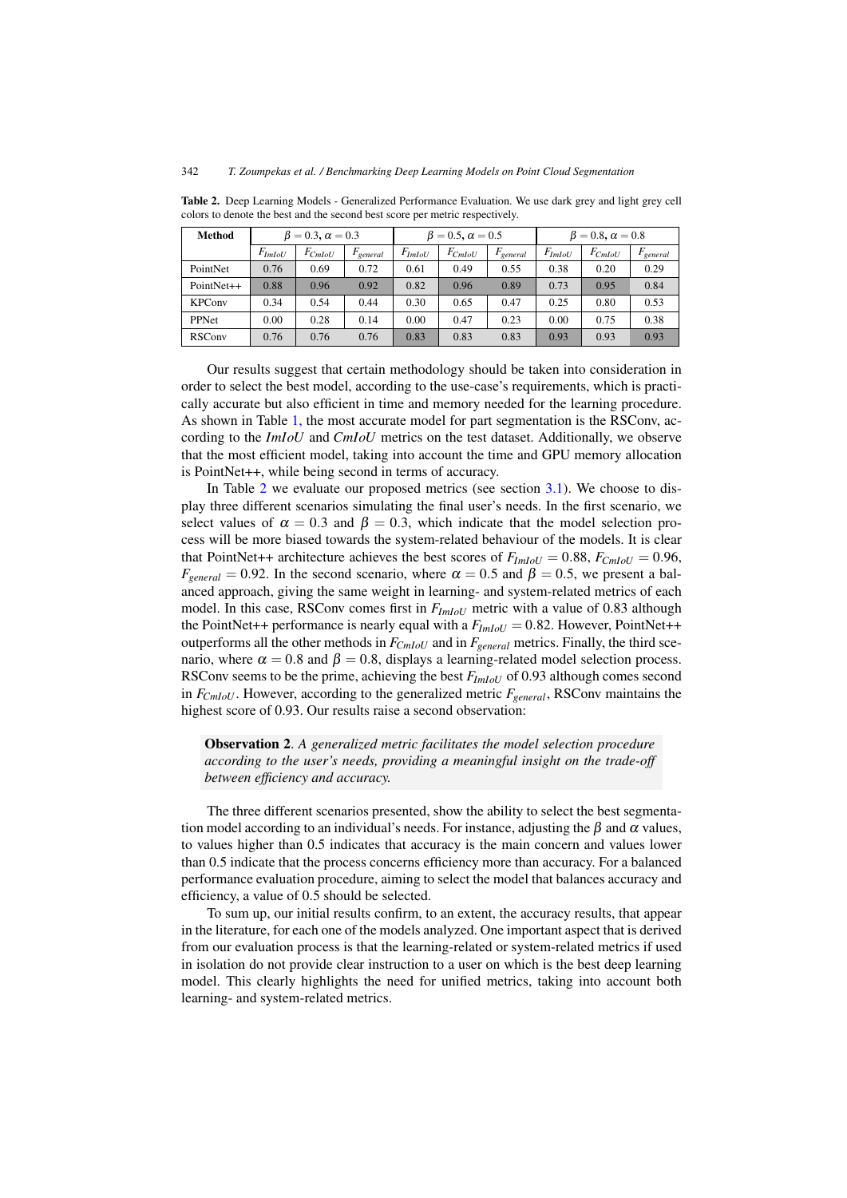| <b>Method</b> |             | $\beta = 0.3$ , $\alpha = 0.3$ |                      |             | $\beta = 0.5$ , $\alpha = 0.5$ |               | $\beta = 0.8$ , $\alpha = 0.8$ |             |               |
|---------------|-------------|--------------------------------|----------------------|-------------|--------------------------------|---------------|--------------------------------|-------------|---------------|
|               | $F_{ImIoU}$ | $F_{CmloU}$                    | $F_{\text{general}}$ | $F_{ImIoU}$ | $F_{CmloU}$                    | $F_{general}$ | $F_{ImIoU}$                    | $F_{CmloU}$ | $F_{general}$ |
| PointNet      | 0.76        | 0.69                           | 0.72                 | 0.61        | 0.49                           | 0.55          | 0.38                           | 0.20        | 0.29          |
| PointNet++    | 0.88        | 0.96                           | 0.92                 | 0.82        | 0.96                           | 0.89          | 0.73                           | 0.95        | 0.84          |
| <b>KPConv</b> | 0.34        | 0.54                           | 0.44                 | 0.30        | 0.65                           | 0.47          | 0.25                           | 0.80        | 0.53          |
| PPNet         | 0.00        | 0.28                           | 0.14                 | 0.00        | 0.47                           | 0.23          | 0.00                           | 0.75        | 0.38          |
| <b>RSConv</b> | 0.76        | 0.76                           | 0.76                 | 0.83        | 0.83                           | 0.83          | 0.93                           | 0.93        | 0.93          |

Table 2. Deep Learning Models - Generalized Performance Evaluation. We use dark grey and light grey cell colors to denote the best and the second best score per metric respectively.

Our results suggest that certain methodology should be taken into consideration in order to select the best model, according to the use-case's requirements, which is practically accurate but also efficient in time and memory needed for the learning procedure. As shown in Table [1,](#page-6-0) the most accurate model for part segmentation is the RSConv, according to the *ImIoU* and *CmIoU* metrics on the test dataset. Additionally, we observe that the most efficient model, taking into account the time and GPU memory allocation is PointNet++, while being second in terms of accuracy.

In Table 2 we evaluate our proposed metrics (see section [3.1\)](#page-3-0). We choose to display three different scenarios simulating the final user's needs. In the first scenario, we select values of  $\alpha = 0.3$  and  $\beta = 0.3$ , which indicate that the model selection process will be more biased towards the system-related behaviour of the models. It is clear that PointNet++ architecture achieves the best scores of  $F_{ImIotU} = 0.88$ ,  $F_{CmlotU} = 0.96$ ,  $F_{general} = 0.92$ . In the second scenario, where  $\alpha = 0.5$  and  $\beta = 0.5$ , we present a balanced approach, giving the same weight in learning- and system-related metrics of each model. In this case, RSConv comes first in *FImIoU* metric with a value of 0.83 although the PointNet++ performance is nearly equal with a  $F_{ImIoU} = 0.82$ . However, PointNet++ outperforms all the other methods in  $F_{CmloU}$  and in  $F_{general}$  metrics. Finally, the third scenario, where  $\alpha = 0.8$  and  $\beta = 0.8$ , displays a learning-related model selection process. RSConv seems to be the prime, achieving the best *FImIoU* of 0.93 although comes second in  $F_{CmloU}$ . However, according to the generalized metric  $F_{general}$ , RSConv maintains the highest score of 0.93. Our results raise a second observation:

Observation 2. *A generalized metric facilitates the model selection procedure according to the user's needs, providing a meaningful insight on the trade-off between efficiency and accuracy.*

The three different scenarios presented, show the ability to select the best segmentation model according to an individual's needs. For instance, adjusting the  $\beta$  and  $\alpha$  values, to values higher than 0.5 indicates that accuracy is the main concern and values lower than 0.5 indicate that the process concerns efficiency more than accuracy. For a balanced performance evaluation procedure, aiming to select the model that balances accuracy and efficiency, a value of 0.5 should be selected.

To sum up, our initial results confirm, to an extent, the accuracy results, that appear in the literature, for each one of the models analyzed. One important aspect that is derived from our evaluation process is that the learning-related or system-related metrics if used in isolation do not provide clear instruction to a user on which is the best deep learning model. This clearly highlights the need for unified metrics, taking into account both learning- and system-related metrics.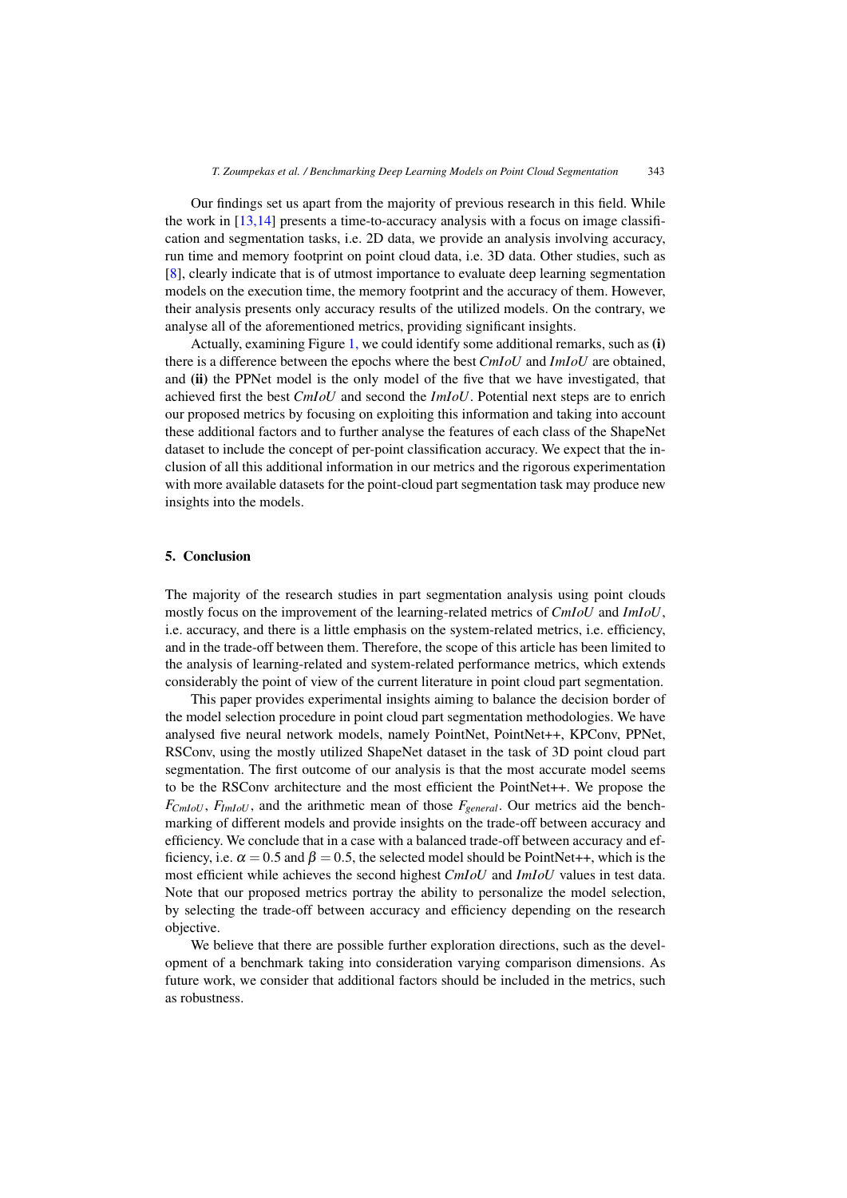Our findings set us apart from the majority of previous research in this field. While the work in  $[13,14]$  presents a time-to-accuracy analysis with a focus on image classification and segmentation tasks, i.e. 2D data, we provide an analysis involving accuracy, run time and memory footprint on point cloud data, i.e. 3D data. Other studies, such as [\[8\]](#page-9-0), clearly indicate that is of utmost importance to evaluate deep learning segmentation models on the execution time, the memory footprint and the accuracy of them. However, their analysis presents only accuracy results of the utilized models. On the contrary, we analyse all of the aforementioned metrics, providing significant insights.

Actually, examining Figure [1,](#page-6-0) we could identify some additional remarks, such as (i) there is a difference between the epochs where the best *CmIoU* and *ImIoU* are obtained, and (ii) the PPNet model is the only model of the five that we have investigated, that achieved first the best *CmIoU* and second the *ImIoU*. Potential next steps are to enrich our proposed metrics by focusing on exploiting this information and taking into account these additional factors and to further analyse the features of each class of the ShapeNet dataset to include the concept of per-point classification accuracy. We expect that the inclusion of all this additional information in our metrics and the rigorous experimentation with more available datasets for the point-cloud part segmentation task may produce new insights into the models.

### 5. Conclusion

The majority of the research studies in part segmentation analysis using point clouds mostly focus on the improvement of the learning-related metrics of *CmIoU* and *ImIoU*, i.e. accuracy, and there is a little emphasis on the system-related metrics, i.e. efficiency, and in the trade-off between them. Therefore, the scope of this article has been limited to the analysis of learning-related and system-related performance metrics, which extends considerably the point of view of the current literature in point cloud part segmentation.

This paper provides experimental insights aiming to balance the decision border of the model selection procedure in point cloud part segmentation methodologies. We have analysed five neural network models, namely PointNet, PointNet++, KPConv, PPNet, RSConv, using the mostly utilized ShapeNet dataset in the task of 3D point cloud part segmentation. The first outcome of our analysis is that the most accurate model seems to be the RSConv architecture and the most efficient the PointNet++. We propose the  $F_{CmloU}$ ,  $F_{ImIoU}$ , and the arithmetic mean of those  $F_{general}$ . Our metrics aid the benchmarking of different models and provide insights on the trade-off between accuracy and efficiency. We conclude that in a case with a balanced trade-off between accuracy and efficiency, i.e.  $\alpha = 0.5$  and  $\beta = 0.5$ , the selected model should be PointNet++, which is the most efficient while achieves the second highest *CmIoU* and *ImIoU* values in test data. Note that our proposed metrics portray the ability to personalize the model selection, by selecting the trade-off between accuracy and efficiency depending on the research objective.

We believe that there are possible further exploration directions, such as the development of a benchmark taking into consideration varying comparison dimensions. As future work, we consider that additional factors should be included in the metrics, such as robustness.